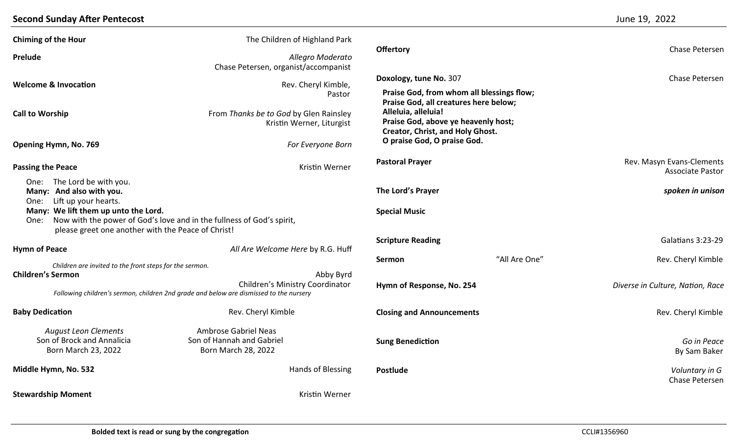## **Second Sunday After Pentecost** June 19, 2022

| <b>Chiming of the Hour</b>                                                                                                                                         | The Children of Highland Park                                         |                                                                                                |  |                                                      |
|--------------------------------------------------------------------------------------------------------------------------------------------------------------------|-----------------------------------------------------------------------|------------------------------------------------------------------------------------------------|--|------------------------------------------------------|
| Prelude                                                                                                                                                            | Allegro Moderato<br>Chase Petersen, organist/accompanist              | <b>Offertory</b>                                                                               |  | Chase Petersen                                       |
| <b>Welcome &amp; Invocation</b>                                                                                                                                    | Rev. Cheryl Kimble,                                                   | Doxology, tune No. 307                                                                         |  | Chase Petersen                                       |
|                                                                                                                                                                    | Pastor                                                                | Praise God, from whom all blessings flow;<br>Praise God, all creatures here below;             |  |                                                      |
| <b>Call to Worship</b>                                                                                                                                             | From Thanks be to God by Glen Rainsley<br>Kristin Werner, Liturgist   | Alleluia, alleluia!<br>Praise God, above ye heavenly host;<br>Creator, Christ, and Holy Ghost. |  |                                                      |
| Opening Hymn, No. 769                                                                                                                                              | For Everyone Born                                                     | O praise God, O praise God.                                                                    |  |                                                      |
| <b>Passing the Peace</b>                                                                                                                                           | Kristin Werner                                                        | <b>Pastoral Prayer</b>                                                                         |  | Rev. Masyn Evans-Clements<br><b>Associate Pastor</b> |
| One: The Lord be with you.<br>Many: And also with you.<br>Lift up your hearts.<br>One:                                                                             |                                                                       | The Lord's Prayer                                                                              |  | spoken in unison                                     |
| Many: We lift them up unto the Lord.<br>One:<br>please greet one another with the Peace of Christ!                                                                 | Now with the power of God's love and in the fullness of God's spirit, | <b>Special Music</b>                                                                           |  |                                                      |
|                                                                                                                                                                    |                                                                       | <b>Scripture Reading</b><br>"All Are One"<br>Sermon                                            |  | Galatians 3:23-29                                    |
| <b>Hymn of Peace</b>                                                                                                                                               | All Are Welcome Here by R.G. Huff                                     |                                                                                                |  | Rev. Cheryl Kimble                                   |
| Children are invited to the front steps for the sermon.                                                                                                            |                                                                       |                                                                                                |  |                                                      |
| <b>Children's Sermon</b><br>Abby Byrd<br>Children's Ministry Coordinator<br>Following children's sermon, children 2nd grade and below are dismissed to the nursery |                                                                       | Hymn of Response, No. 254                                                                      |  | Diverse in Culture, Nation, Race                     |
| <b>Baby Dedication</b>                                                                                                                                             | Rev. Cheryl Kimble                                                    | <b>Closing and Announcements</b>                                                               |  | Rev. Cheryl Kimble                                   |
| <b>August Leon Clements</b>                                                                                                                                        | <b>Ambrose Gabriel Neas</b>                                           |                                                                                                |  |                                                      |
| Son of Brock and Annalicia<br>Born March 23, 2022                                                                                                                  | Son of Hannah and Gabriel<br><b>Born March 28, 2022</b>               | <b>Sung Benediction</b>                                                                        |  | Go in Peace<br>By Sam Baker                          |
| Middle Hymn, No. 532                                                                                                                                               | Hands of Blessing                                                     | <b>Postlude</b>                                                                                |  | Voluntary in G<br>Chase Petersen                     |
| <b>Stewardship Moment</b>                                                                                                                                          | Kristin Werner                                                        |                                                                                                |  |                                                      |